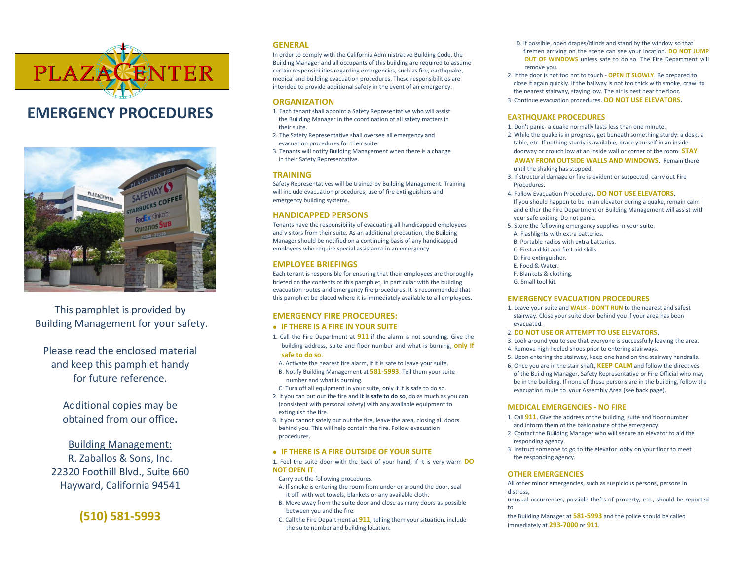

# **EMERGENCY PROCEDURES**



This pamphlet is provided by Building Management for your safety.

Please read the enclosed material and keep this pamphlet handy for future reference.

> Additional copies may be obtained from our office**.**

Building Management: R. Zaballos & Sons, Inc. 22320 Foothill Blvd., Suite 660 Hayward, California 94541

**(510) 581-5993**

# **GENERAL**

In order to comply with the California Administrative Building Code, the Building Manager and all occupants of this building are required to assume certain responsibilities regarding emergencies, such as fire, earthquake, medical and building evacuation procedures. These responsibilities are intended to provide additional safety in the event of an emergency.

# **ORGANIZATION**

- 1. Each tenant shall appoint a Safety Representative who will assist the Building Manager in the coordination of all safety matters in their suite.
- 2. The Safety Representative shall oversee all emergency and evacuation procedures for their suite.
- 3. Tenants will notify Building Management when there is a change in their Safety Representative.

# **TRAINING**

Safety Representatives will be trained by Building Management. Training will include evacuation procedures, use of fire extinguishers and emergency building systems.

#### **HANDICAPPED PERSONS**

Tenants have the responsibility of evacuating all handicapped employees and visitors from their suite. As an additional precaution, the Building Manager should be notified on a continuing basis of any handicapped employees who require special assistance in an emergency.

# **EMPLOYEE BRIEFINGS**

Each tenant is responsible for ensuring that their employees are thoroughly briefed on the contents of this pamphlet, in particular with the building evacuation routes and emergency fire procedures. It is recommended that this pamphlet be placed where it is immediately available to all employees.

# **EMERGENCY FIRE PROCEDURES:**

#### **IF THERE IS A FIRE IN YOUR SUITE**

- 1. Call the Fire Department at **911** if the alarm is not sounding. Give the building address, suite and floor number and what is burning, **only if safe to do so**.
- A. Activate the nearest fire alarm, if it is safe to leave your suite.
- B. Notify Building Management at **581-5993**. Tell them your suite number and what is burning.
- C. Turn off all equipment in your suite, only if it is safe to do so.
- 2. If you can put out the fire and **it is safe to do so**, do as much as you can (consistent with personal safety) with any available equipment to extinguish the fire.
- 3. If you cannot safely put out the fire, leave the area, closing all doors behind you. This will help contain the fire. Follow evacuation procedures.

#### **IF THERE IS A FIRE OUTSIDE OF YOUR SUITE**

1. Feel the suite door with the back of your hand; if it is very warm **DO NOT OPEN IT**.

Carry out the following procedures:

- A. If smoke is entering the room from under or around the door, seal it off with wet towels, blankets or any available cloth.
- B. Move away from the suite door and close as many doors as possible between you and the fire.
- C. Call the Fire Department at **911**, telling them your situation, include the suite number and building location.
- D. If possible, open drapes/blinds and stand by the window so that firemen arriving on the scene can see your location. **DO NOT JUMP OUT OF WINDOWS** unless safe to do so. The Fire Department will remove you.
- 2. If the door is not too hot to touch **OPEN IT SLOWLY**. Be prepared to close it again quickly. If the hallway is not too thick with smoke, crawl to the nearest stairway, staying low. The air is best near the floor.
- 3. Continue evacuation procedures. **DO NOT USE ELEVATORS.**

## **EARTHQUAKE PROCEDURES**

- 1. Don't panic- a quake normally lasts less than one minute.
- 2. While the quake is in progress, get beneath something sturdy: a desk, a table, etc. If nothing sturdy is available, brace yourself in an inside doorway or crouch low at an inside wall or corner of the room. **STAY AWAY FROM OUTSIDE WALLS AND WINDOWS.** Remain there until the shaking has stopped.
- 3. If structural damage or fire is evident or suspected, carry out Fire Procedures.
- 4. Follow Evacuation Procedures. **DO NOT USE ELEVATORS.** If you should happen to be in an elevator during a quake, remain calm and either the Fire Department or Building Management will assist with your safe exiting. Do not panic.
- 5. Store the following emergency supplies in your suite:
- A. Flashlights with extra batteries.
- B. Portable radios with extra batteries.
- C. First aid kit and first aid skills.
- D. Fire extinguisher.
- E. Food & Water.
- F. Blankets & clothing.
- G. Small tool kit.

#### **EMERGENCY EVACUATION PROCEDURES**

- 1. Leave your suite and **WALK - DON'T RUN** to the nearest and safest stairway. Close your suite door behind you if your area has been evacuated.
- 2. **DO NOT USE OR ATTEMPT TO USE ELEVATORS.**
- 3. Look around you to see that everyone is successfully leaving the area.
- 4. Remove high heeled shoes prior to entering stairways.
- 5. Upon entering the stairway, keep one hand on the stairway handrails.
- 6. Once you are in the stair shaft, **KEEP CALM** and follow the directives of the Building Manager, Safety Representative or Fire Official who may be in the building. If none of these persons are in the building, follow the evacuation route to your Assembly Area (see back page).

#### **MEDICAL EMERGENCIES - NO FIRE**

- 1. Call **911**. Give the address of the building, suite and floor number and inform them of the basic nature of the emergency.
- 2. Contact the Building Manager who will secure an elevator to aid the responding agency.
- 3. Instruct someone to go to the elevator lobby on your floor to meet the responding agency.

#### **OTHER EMERGENCIES**

All other minor emergencies, such as suspicious persons, persons in distress,

unusual occurrences, possible thefts of property, etc., should be reported to

the Building Manager at **581-5993** and the police should be called immediately at **293-7000** or **911**.